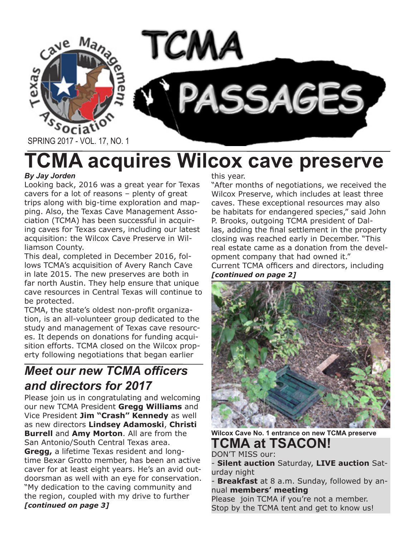

# **TCMA acquires Wilcox cave preserve**

### *By Jay Jorden*

Looking back, 2016 was a great year for Texas cavers for a lot of reasons – plenty of great trips along with big-time exploration and mapping. Also, the Texas Cave Management Association (TCMA) has been successful in acquiring caves for Texas cavers, including our latest acquisition: the Wilcox Cave Preserve in Williamson County.

This deal, completed in December 2016, follows TCMA's acquisition of Avery Ranch Cave in late 2015. The new preserves are both in far north Austin. They help ensure that unique cave resources in Central Texas will continue to be protected.

TCMA, the state's oldest non-profit organization, is an all-volunteer group dedicated to the study and management of Texas cave resources. It depends on donations for funding acquisition efforts. TCMA closed on the Wilcox property following negotiations that began earlier

## *Meet our new TCMA officers and directors for 2017*

Please join us in congratulating and welcoming our new TCMA President **Gregg Williams** and Vice President **Jim "Crash" Kennedy** as well as new directors **Lindsey Adamoski**, **Christi Burrell** and **Amy Morton**. All are from the San Antonio/South Central Texas area. **Gregg,** a lifetime Texas resident and longtime Bexar Grotto member, has been an active caver for at least eight years. He's an avid outdoorsman as well with an eye for conservation. "My dedication to the caving community and the region, coupled with my drive to further *[continued on page 3]*

#### this year.

"After months of negotiations, we received the Wilcox Preserve, which includes at least three caves. These exceptional resources may also be habitats for endangered species," said John P. Brooks, outgoing TCMA president of Dallas, adding the final settlement in the property closing was reached early in December. "This real estate came as a donation from the development company that had owned it." Current TCMA officers and directors, including *[continued on page 2]*



**Wilcox Cave No. 1 entrance on new TCMA preserve**

#### **TCMA at TSACON!**  DON'T MISS our:

- **Silent auction** Saturday, **LIVE auction** Saturday night

Breakfast at 8 a.m. Sunday, followed by annual **members' meeting**

Please join TCMA if you're not a member. Stop by the TCMA tent and get to know us!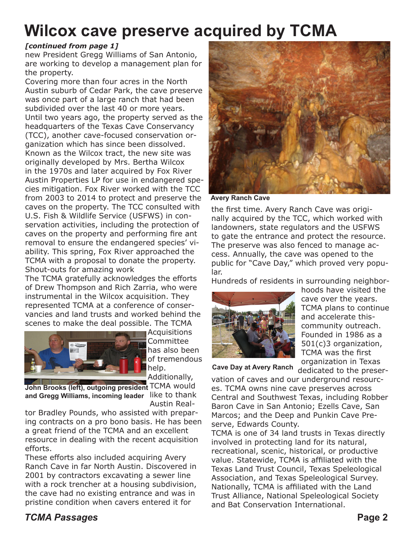# **Wilcox cave preserve acquired by TCMA**

#### *[continued from page 1]*

new President Gregg Williams of San Antonio, are working to develop a management plan for the property.

Covering more than four acres in the North Austin suburb of Cedar Park, the cave preserve was once part of a large ranch that had been subdivided over the last 40 or more years. Until two years ago, the property served as the headquarters of the Texas Cave Conservancy (TCC), another cave-focused conservation organization which has since been dissolved. Known as the Wilcox tract, the new site was originally developed by Mrs. Bertha Wilcox in the 1970s and later acquired by Fox River Austin Properties LP for use in endangered species mitigation. Fox River worked with the TCC from 2003 to 2014 to protect and preserve the caves on the property. The TCC consulted with U.S. Fish & Wildlife Service (USFWS) in conservation activities, including the protection of caves on the property and performing fire ant removal to ensure the endangered species' viability. This spring, Fox River approached the TCMA with a proposal to donate the property. Shout-outs for amazing work

The TCMA gratefully acknowledges the efforts of Drew Thompson and Rich Zarria, who were instrumental in the Wilcox acquisition. They represented TCMA at a conference of conservancies and land trusts and worked behind the scenes to make the deal possible. The TCMA



**Acquisitions** Committee has also been of tremendous help. Additionally,

John Brooks (left), outgoing president <sup>TCMA</sup> would and Gregg Williams, incoming leader like to thank

Austin Realtor Bradley Pounds, who assisted with preparing contracts on a pro bono basis. He has been a great friend of the TCMA and an excellent resource in dealing with the recent acquisition efforts.

These efforts also included acquiring Avery Ranch Cave in far North Austin. Discovered in 2001 by contractors excavating a sewer line with a rock trencher at a housing subdivision, the cave had no existing entrance and was in pristine condition when cavers entered it for



**Avery Ranch Cave**

the first time. Avery Ranch Cave was originally acquired by the TCC, which worked with landowners, state regulators and the USFWS to gate the entrance and protect the resource. The preserve was also fenced to manage access. Annually, the cave was opened to the public for "Cave Day," which proved very popular.

Hundreds of residents in surrounding neighbor-



hoods have visited the cave over the years. TCMA plans to continue and accelerate thiscommunity outreach. Founded in 1986 as a 501(c)3 organization, TCMA was the first organization in Texas

Cave Day at Avery Ranch dedicated to the preser-

vation of caves and our underground resources. TCMA owns nine cave preserves across Central and Southwest Texas, including Robber Baron Cave in San Antonio; Ezells Cave, San Marcos; and the Deep and Punkin Cave Preserve, Edwards County.

TCMA is one of 34 land trusts in Texas directly involved in protecting land for its natural, recreational, scenic, historical, or productive value. Statewide, TCMA is affiliated with the Texas Land Trust Council, Texas Speleological Association, and Texas Speleological Survey. Nationally, TCMA is affiliated with the Land Trust Alliance, National Speleological Society and Bat Conservation International.

## *TCMA Passages* **Page 2**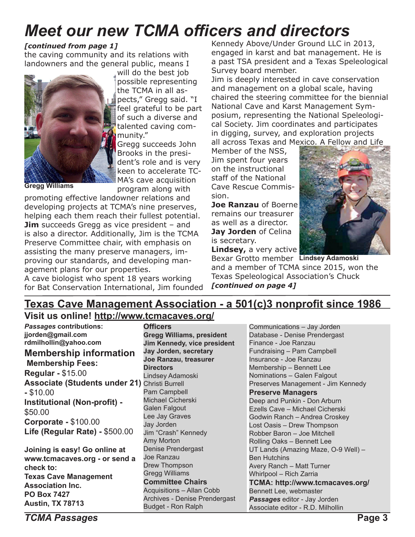# *Meet our new TCMA officers and directors*

### *[continued from page 1]*

the caving community and its relations with landowners and the general public, means I



will do the best job possible representing the TCMA in all aspects," Gregg said. "I feel grateful to be part of such a diverse and talented caving community."

Gregg succeeds John Brooks in the president's role and is very keen to accelerate TC-MA's cave acquisition program along with

**Gregg Williams**

promoting effective landowner relations and developing projects at TCMA's nine preserves, helping each them reach their fullest potential. **Jim** succeeds Gregg as vice president – and is also a director. Additionally, Jim is the TCMA Preserve Committee chair, with emphasis on assisting the many preserve managers, improving our standards, and developing management plans for our properties.

A cave biologist who spent 18 years working for Bat Conservation International, Jim founded Kennedy Above/Under Ground LLC in 2013, engaged in karst and bat management. He is a past TSA president and a Texas Speleological Survey board member.

Jim is deeply interested in cave conservation and management on a global scale, having chaired the steering committee for the biennial National Cave and Karst Management Symposium, representing the National Speleological Society. Jim coordinates and participates in digging, survey, and exploration projects all across Texas and Mexico. A Fellow and Life

Member of the NSS, Jim spent four years on the instructional staff of the National Cave Rescue Commission.

**Joe Ranzau** of Boerne remains our treasurer as well as a director. **Jay Jorden** of Celina is secretary.



**Lindsey, a very active** 

Bexar Grotto member **Lindsey Adamoski**and a member of TCMA since 2015, won the Texas Speleological Association's Chuck *[continued on page 4]*

## **Texas Cave Management Association - a 501(c)3 nonprofit since 1986**

## **Visit us online! http://www.tcmacaves.org/**

| <b>Passages contributions:</b>                       | <b>Officers</b>                  | Communications - Jay Jorden         |
|------------------------------------------------------|----------------------------------|-------------------------------------|
| jjorden@gmail.com                                    | <b>Gregg Williams, president</b> | Database - Denise Prendergast       |
| rdmilhollin@yahoo.com                                | Jim Kennedy, vice president      | Finance - Joe Ranzau                |
| <b>Membership information</b>                        | Jay Jorden, secretary            | Fundraising - Pam Campbell          |
| <b>Membership Fees:</b>                              | Joe Ranzau, treasurer            | Insurance - Joe Ranzau              |
|                                                      | <b>Directors</b>                 | Membership - Bennett Lee            |
| <b>Regular - \$15.00</b>                             | Lindsey Adamoski                 | Nominations - Galen Falgout         |
| <b>Associate (Students under 21)</b> Christi Burrell |                                  | Preserves Management - Jim Kennedy  |
| $-$ \$10.00                                          | Pam Campbell                     | <b>Preserve Managers</b>            |
| Institutional (Non-profit) -                         | <b>Michael Cicherski</b>         | Deep and Punkin - Don Arburn        |
| \$50.00                                              | Galen Falgout                    | Ezells Cave - Michael Cicherski     |
|                                                      | Lee Jay Graves                   | Godwin Ranch - Andrea Croskey       |
| <b>Corporate - \$100.00</b>                          | Jay Jorden                       | Lost Oasis - Drew Thompson          |
| Life (Regular Rate) - \$500.00                       | Jim "Crash" Kennedy              | Robber Baron - Joe Mitchell         |
|                                                      | Amy Morton                       | Rolling Oaks - Bennett Lee          |
| Joining is easy! Go online at                        | Denise Prendergast               | UT Lands (Amazing Maze, O-9 Well) - |
| www.tcmacaves.org - or send a                        | Joe Ranzau                       | <b>Ben Hutchins</b>                 |
| check to:                                            | Drew Thompson                    | Avery Ranch - Matt Turner           |
| <b>Texas Cave Management</b>                         | <b>Gregg Williams</b>            | <b>Whirlpool - Rich Zarria</b>      |
| <b>Association Inc.</b>                              | <b>Committee Chairs</b>          | TCMA: http://www.tcmacaves.org/     |
|                                                      | <b>Acquisitions - Allan Cobb</b> | Bennett Lee, webmaster              |
| <b>PO Box 7427</b>                                   | Archives - Denise Prendergast    | Passages editor - Jay Jorden        |
| <b>Austin, TX 78713</b>                              | <b>Budget - Ron Ralph</b>        | Associate editor - R.D. Milhollin   |

*TCMA Passages* **Page 3**